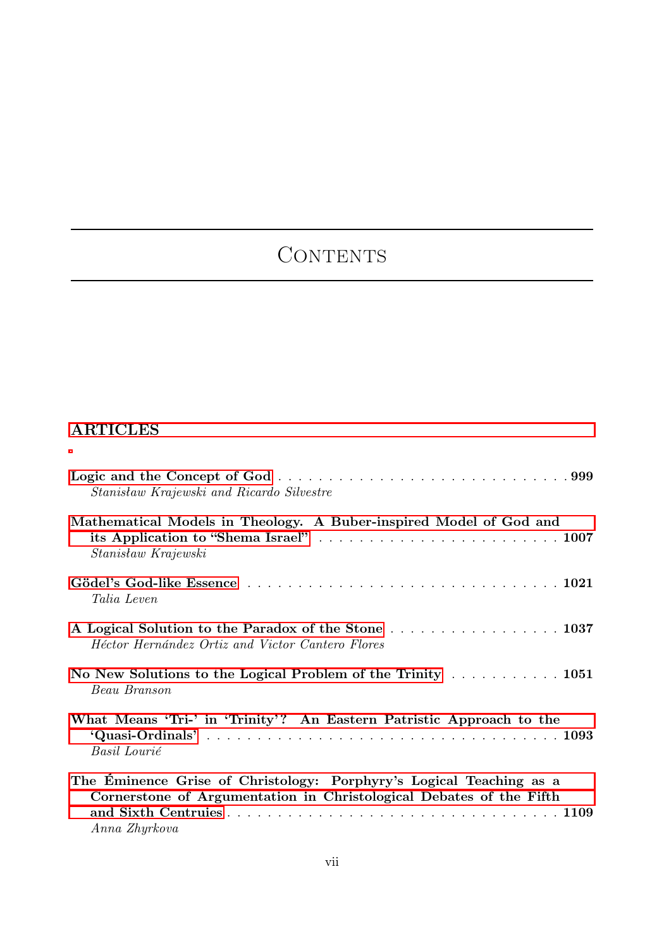## CONTENTS

## ARTICLES

| Stanisław Krajewski and Ricardo Silvestre                                                                                                                   |
|-------------------------------------------------------------------------------------------------------------------------------------------------------------|
| Mathematical Models in Theology. A Buber-inspired Model of God and<br>Stanisław Krajewski                                                                   |
| <i>Talia Leven</i>                                                                                                                                          |
| Héctor Hernández Ortiz and Victor Cantero Flores                                                                                                            |
| No New Solutions to the Logical Problem of the Trinity 1051<br>Beau Branson                                                                                 |
| What Means 'Tri-' in 'Trinity'? An Eastern Patristic Approach to the<br>Basil Lourié                                                                        |
| The Eminence Grise of Christology: Porphyry's Logical Teaching as a<br>Cornerstone of Argumentation in Christological Debates of the Fifth<br>Anna Zhyrkova |